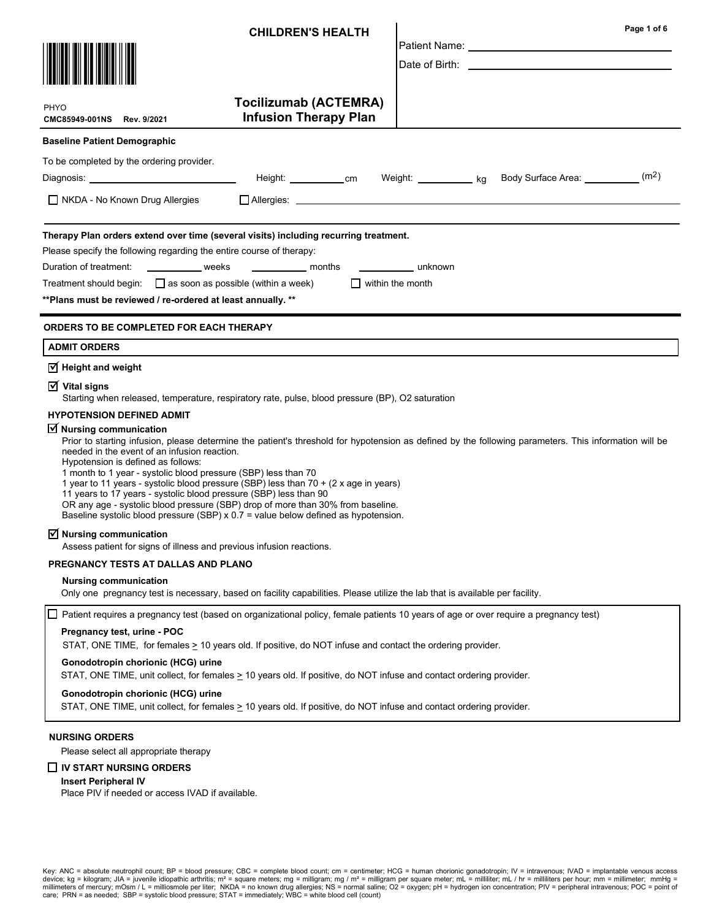|                                                                                                                                                                                                                                                                                                                                                                                                                                                                                                                                                                                                                                                                                                                                                                                                                                                                                                                   | <b>CHILDREN'S HEALTH</b>                                     | Page 1 of 6<br>Patient Name: Name: Name: Name: Name: Name: Name: Name: Name: Name: Name: Name: Name: Name: Name: Name: Name: N                                                                                                      |  |  |  |  |  |  |  |
|-------------------------------------------------------------------------------------------------------------------------------------------------------------------------------------------------------------------------------------------------------------------------------------------------------------------------------------------------------------------------------------------------------------------------------------------------------------------------------------------------------------------------------------------------------------------------------------------------------------------------------------------------------------------------------------------------------------------------------------------------------------------------------------------------------------------------------------------------------------------------------------------------------------------|--------------------------------------------------------------|-------------------------------------------------------------------------------------------------------------------------------------------------------------------------------------------------------------------------------------|--|--|--|--|--|--|--|
| <b>PHYO</b><br>CMC85949-001NS Rev. 9/2021                                                                                                                                                                                                                                                                                                                                                                                                                                                                                                                                                                                                                                                                                                                                                                                                                                                                         | <b>Tocilizumab (ACTEMRA)</b><br><b>Infusion Therapy Plan</b> |                                                                                                                                                                                                                                     |  |  |  |  |  |  |  |
| <b>Baseline Patient Demographic</b>                                                                                                                                                                                                                                                                                                                                                                                                                                                                                                                                                                                                                                                                                                                                                                                                                                                                               |                                                              |                                                                                                                                                                                                                                     |  |  |  |  |  |  |  |
| To be completed by the ordering provider.<br>Body Surface Area: ____________(m <sup>2</sup> )<br>Height: ____________cm Weight: ___________ kg                                                                                                                                                                                                                                                                                                                                                                                                                                                                                                                                                                                                                                                                                                                                                                    |                                                              |                                                                                                                                                                                                                                     |  |  |  |  |  |  |  |
| $\Box$ NKDA - No Known Drug Allergies                                                                                                                                                                                                                                                                                                                                                                                                                                                                                                                                                                                                                                                                                                                                                                                                                                                                             |                                                              | □ Allergies: <u>● Allergies: ● Allergies: ● Allergies: ● Allergies: ● Allergies: ● Allergies: ● Allergies: ● Allergies: ● Allergies: ● Allergies: ● Allergies: ● Allergies: ● Allergies: ● Allergies: ● Allergies: ● Allergies:</u> |  |  |  |  |  |  |  |
| Therapy Plan orders extend over time (several visits) including recurring treatment.<br>Please specify the following regarding the entire course of therapy:<br>Duration of treatment:<br>weeks<br>______________ months<br>unknown<br>Treatment should begin: $\Box$ as soon as possible (within a week)<br>$\Box$ within the month<br>** Plans must be reviewed / re-ordered at least annually. **                                                                                                                                                                                                                                                                                                                                                                                                                                                                                                              |                                                              |                                                                                                                                                                                                                                     |  |  |  |  |  |  |  |
| <b>ORDERS TO BE COMPLETED FOR EACH THERAPY</b>                                                                                                                                                                                                                                                                                                                                                                                                                                                                                                                                                                                                                                                                                                                                                                                                                                                                    |                                                              |                                                                                                                                                                                                                                     |  |  |  |  |  |  |  |
| <b>ADMIT ORDERS</b>                                                                                                                                                                                                                                                                                                                                                                                                                                                                                                                                                                                                                                                                                                                                                                                                                                                                                               |                                                              |                                                                                                                                                                                                                                     |  |  |  |  |  |  |  |
| $\triangledown$ Height and weight<br>$\overline{M}$ Vital signs<br>Starting when released, temperature, respiratory rate, pulse, blood pressure (BP), O2 saturation<br><b>HYPOTENSION DEFINED ADMIT</b><br>$\overline{\mathbf{y}}$ Nursing communication<br>Prior to starting infusion, please determine the patient's threshold for hypotension as defined by the following parameters. This information will be<br>needed in the event of an infusion reaction.<br>Hypotension is defined as follows:<br>1 month to 1 year - systolic blood pressure (SBP) less than 70<br>1 year to 11 years - systolic blood pressure (SBP) less than 70 + (2 x age in years)<br>11 years to 17 years - systolic blood pressure (SBP) less than 90<br>OR any age - systolic blood pressure (SBP) drop of more than 30% from baseline.<br>Baseline systolic blood pressure (SBP) $x$ 0.7 = value below defined as hypotension. |                                                              |                                                                                                                                                                                                                                     |  |  |  |  |  |  |  |
| $\sqrt{}$ Nursing communication<br>Assess patient for signs of illness and previous infusion reactions.                                                                                                                                                                                                                                                                                                                                                                                                                                                                                                                                                                                                                                                                                                                                                                                                           |                                                              |                                                                                                                                                                                                                                     |  |  |  |  |  |  |  |
| PREGNANCY TESTS AT DALLAS AND PLANO                                                                                                                                                                                                                                                                                                                                                                                                                                                                                                                                                                                                                                                                                                                                                                                                                                                                               |                                                              |                                                                                                                                                                                                                                     |  |  |  |  |  |  |  |
| <b>Nursing communication</b><br>Only one pregnancy test is necessary, based on facility capabilities. Please utilize the lab that is available per facility.                                                                                                                                                                                                                                                                                                                                                                                                                                                                                                                                                                                                                                                                                                                                                      |                                                              |                                                                                                                                                                                                                                     |  |  |  |  |  |  |  |
|                                                                                                                                                                                                                                                                                                                                                                                                                                                                                                                                                                                                                                                                                                                                                                                                                                                                                                                   |                                                              | Patient requires a pregnancy test (based on organizational policy, female patients 10 years of age or over require a pregnancy test)                                                                                                |  |  |  |  |  |  |  |
| Pregnancy test, urine - POC<br>STAT, ONE TIME, for females $\geq 10$ years old. If positive, do NOT infuse and contact the ordering provider.                                                                                                                                                                                                                                                                                                                                                                                                                                                                                                                                                                                                                                                                                                                                                                     |                                                              |                                                                                                                                                                                                                                     |  |  |  |  |  |  |  |
| Gonodotropin chorionic (HCG) urine<br>STAT, ONE TIME, unit collect, for females $\geq 10$ years old. If positive, do NOT infuse and contact ordering provider.                                                                                                                                                                                                                                                                                                                                                                                                                                                                                                                                                                                                                                                                                                                                                    |                                                              |                                                                                                                                                                                                                                     |  |  |  |  |  |  |  |
| Gonodotropin chorionic (HCG) urine<br>STAT, ONE TIME, unit collect, for females > 10 years old. If positive, do NOT infuse and contact ordering provider.                                                                                                                                                                                                                                                                                                                                                                                                                                                                                                                                                                                                                                                                                                                                                         |                                                              |                                                                                                                                                                                                                                     |  |  |  |  |  |  |  |
| <b>NURSING ORDERS</b><br>Please select all appropriate therapy<br>$\Box$ IV START NURSING ORDERS<br><b>Insert Peripheral IV</b><br>Place PIV if needed or access IVAD if available.                                                                                                                                                                                                                                                                                                                                                                                                                                                                                                                                                                                                                                                                                                                               |                                                              |                                                                                                                                                                                                                                     |  |  |  |  |  |  |  |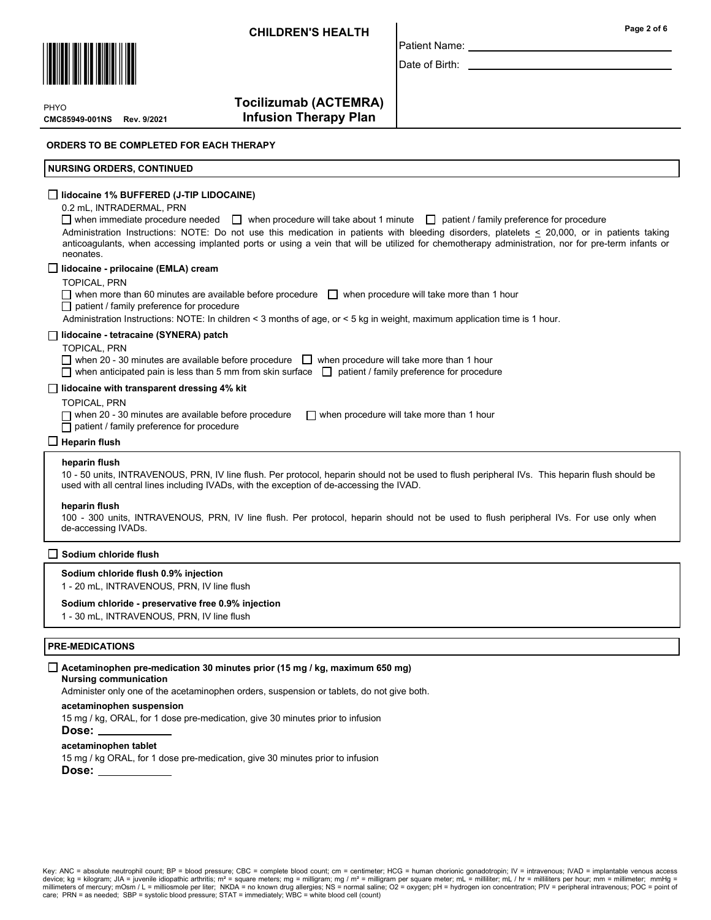

**PHYO** 

CMC85949-001NS

Tocilizumab (ACTEMRA) **Infusion Therapy Plan** 

ORDERS TO BE COMPLETED FOR EACH THERAPY

## NURSING ORDERS, CONTINUED

# $\Box$  lidocaine 1% BUFFERED (J-TIP LIDOCAINE)

#### 0.2 mL, INTRADERMAL, PRN

when immediate procedure needed when procedure will take about 1 minute  $\Box$  patient / family preference for procedure Administration Instructions: NOTE: Do not use this medication in patients with bleeding disorders, platelets < 20,000, or in patients taking anticoagulants, when accessing implanted ports or using a vein that will be utilized for chemotherapy administration, nor for pre-term infants or neonates.

Patient Name: Date of Birth:

#### $\Box$  lidocaine - prilocaine (EMLA) cream

- TOPICAL, PRN
- $\Box$  when more than 60 minutes are available before procedure  $\Box$  when procedure will take more than 1 hour

# □ patient / family preference for procedure

Administration Instructions: NOTE: In children < 3 months of age, or < 5 kg in weight, maximum application time is 1 hour.

# $\Box$  lidocaine - tetracaine (SYNERA) patch

#### TOPICAL, PRN

 $\Box$  when 20 - 30 minutes are available before procedure  $\Box$  when procedure will take more than 1 hour

when anticipated pain is less than 5 mm from skin surface  $\Box$  patient / family preference for procedure

# $\Box$  lidocaine with transparent dressing 4% kit

# TOPICAL, PRN

 $\Box$  when 20 - 30 minutes are available before procedure  $\Box$  when procedure will take more than 1 hour

 $\Box$  patient / family preference for procedure

## $\Box$  Heparin flush

#### heparin flush

10 - 50 units, INTRAVENOUS, PRN, IV line flush. Per protocol, heparin should not be used to flush peripheral IVs. This heparin flush should be used with all central lines including IVADs, with the exception of de-accessing the IVAD.

#### heparin flush

100 - 300 units, INTRAVENOUS, PRN, IV line flush. Per protocol, heparin should not be used to flush peripheral IVs. For use only when de-accessing IVADs.

#### $\Box$  Sodium chloride flush

# Sodium chloride flush 0.9% injection

1 - 20 mL, INTRAVENOUS, PRN, IV line flush

#### Sodium chloride - preservative free 0.9% injection

1 - 30 mL, INTRAVENOUS, PRN, IV line flush

## PRE-MEDICATIONS

#### $\Box$  Acetaminophen pre-medication 30 minutes prior (15 mg / kg, maximum 650 mg)

## Nursing communication

Administer only one of the acetaminophen orders, suspension or tablets, do not give both.

#### acetaminophen suspension

15 mg / kg, ORAL, for 1 dose pre-medication, give 30 minutes prior to infusion

#### Dose:

## acetaminophen tablet

15 mg / kg ORAL, for 1 dose pre-medication, give 30 minutes prior to infusion

#### Dose:

Key: ANC = absolute neutrophil count; BP = blood pressure; CBC = complete blood count; cm = centimeter; HCG = human chorionic gonadotropin; IV = intravenous; IVAD = implantable venous access device; kg = kilogram; JIA = juvenile idiopathic arthritis; mª = square meters; mg = milligram; mg / mª = milligram per square meter; mL = milliiter; mL / hr = milliiters per hour; mm = millimeter; mmHg =<br>millimeters of m care; PRN = as needed; SBP = systolic blood pressure; STAT = immediately; WBC = white blood cell (count)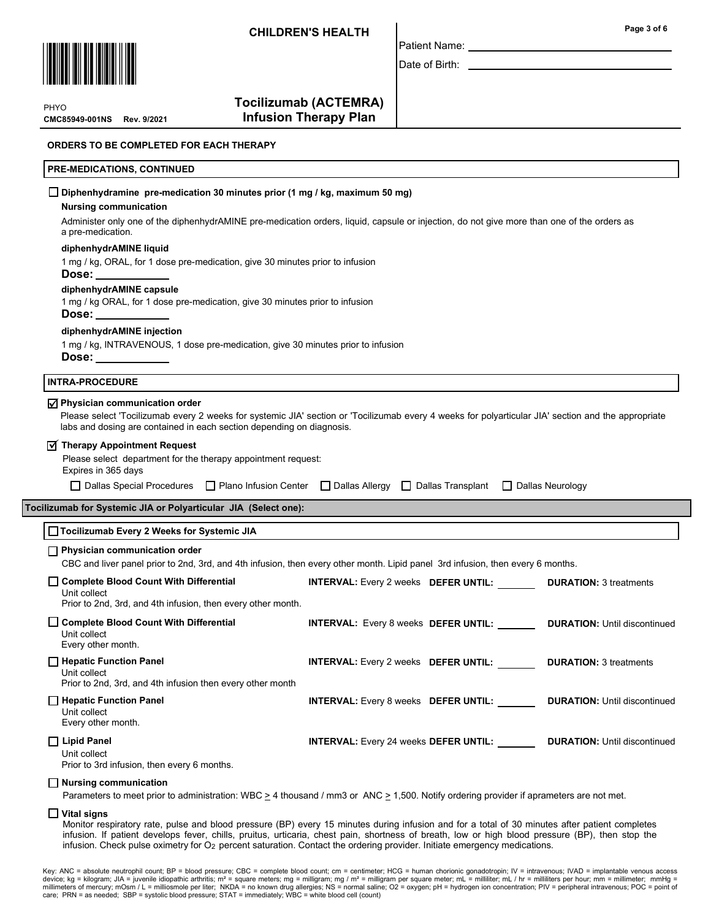

Patient Name:

Date of Birth: \_

CMC85949-001NS PHYO

Tocilizumab (ACTEMRA) **Infusion Therapy Plan** 

## ORDERS TO BE COMPLETED FOR EACH THERAPY

# PRE-MEDICATIONS, CONTINUED

| $\Box$ Diphenhydramine pre-medication 30 minutes prior (1 mg / kg, maximum 50 mg)<br><b>Nursing communication</b>      |                                                                                                                                                     |                                     |  |  |  |  |  |
|------------------------------------------------------------------------------------------------------------------------|-----------------------------------------------------------------------------------------------------------------------------------------------------|-------------------------------------|--|--|--|--|--|
| a pre-medication.                                                                                                      | Administer only one of the diphenhydrAMINE pre-medication orders, liquid, capsule or injection, do not give more than one of the orders as          |                                     |  |  |  |  |  |
| diphenhydrAMINE liquid                                                                                                 |                                                                                                                                                     |                                     |  |  |  |  |  |
| 1 mg / kg, ORAL, for 1 dose pre-medication, give 30 minutes prior to infusion<br>Dose: ___________                     |                                                                                                                                                     |                                     |  |  |  |  |  |
| diphenhydrAMINE capsule<br>1 mg / kg ORAL, for 1 dose pre-medication, give 30 minutes prior to infusion<br>Dose:       |                                                                                                                                                     |                                     |  |  |  |  |  |
| diphenhydrAMINE injection                                                                                              |                                                                                                                                                     |                                     |  |  |  |  |  |
| 1 mg / kg, INTRAVENOUS, 1 dose pre-medication, give 30 minutes prior to infusion<br>Dose: ___________                  |                                                                                                                                                     |                                     |  |  |  |  |  |
| <b>INTRA-PROCEDURE</b>                                                                                                 |                                                                                                                                                     |                                     |  |  |  |  |  |
| $\sqrt{ }$ Physician communication order<br>labs and dosing are contained in each section depending on diagnosis.      | Please select 'Tocilizumab every 2 weeks for systemic JIA' section or 'Tocilizumab every 4 weeks for polyarticular JIA' section and the appropriate |                                     |  |  |  |  |  |
| Therapy Appointment Request<br>Please select department for the therapy appointment request:<br>Expires in 365 days    |                                                                                                                                                     |                                     |  |  |  |  |  |
|                                                                                                                        |                                                                                                                                                     |                                     |  |  |  |  |  |
|                                                                                                                        | □ Dallas Special Procedures □ Plano Infusion Center □ Dallas Allergy □ Dallas Transplant □ Dallas Neurology                                         |                                     |  |  |  |  |  |
| Tocilizumab for Systemic JIA or Polyarticular JIA (Select one):<br>□ Tocilizumab Every 2 Weeks for Systemic JIA        |                                                                                                                                                     |                                     |  |  |  |  |  |
| $\Box$ Physician communication order                                                                                   | CBC and liver panel prior to 2nd, 3rd, and 4th infusion, then every other month. Lipid panel 3rd infusion, then every 6 months.                     |                                     |  |  |  |  |  |
| Complete Blood Count With Differential<br>Unit collect<br>Prior to 2nd, 3rd, and 4th infusion, then every other month. | <b>INTERVAL:</b> Every 2 weeks DEFER UNTIL:                                                                                                         | <b>DURATION: 3 treatments</b>       |  |  |  |  |  |
| Complete Blood Count With Differential<br>Unit collect<br>Every other month.                                           | INTERVAL: Every 8 weeks DEFER UNTIL: DURATION: Until discontinued                                                                                   |                                     |  |  |  |  |  |
| Unit collect<br>Prior to 2nd, 3rd, and 4th infusion then every other month                                             | <b>INTERVAL:</b> Every 2 weeks DEFER UNTIL:                                                                                                         | <b>DURATION: 3 treatments</b>       |  |  |  |  |  |
| Hepatic Function Panel<br>Hepatic Function Panel<br>Unit collect<br>Every other month.                                 | <b>INTERVAL:</b> Every 8 weeks <b>DEFER UNTIL:</b>                                                                                                  | <b>DURATION: Until discontinued</b> |  |  |  |  |  |

# $\Box$  Vital signs

Monitor respiratory rate, pulse and blood pressure (BP) every 15 minutes during infusion and for a total of 30 minutes after patient completes infusion. If patient develops fever, chills, pruitus, urticaria, chest pain, shortness of breath, low or high blood pressure (BP), then stop the infusion. Check pulse oximetry for  $O<sub>2</sub>$  percent saturation. Contact the ordering provider. Initiate emergency medications.

Key: ANC = absolute neutrophil count; BP = blood pressure; CBC = complete blood count; cm = centimeter; HCG = human chorionic gonadotropin; IV = intravenous; IVAD = implantable venous access device; kg = kilogram; JIA = juvenile idiopathic arthritis; m<sup>2</sup> = square meters; mg = milligram; mg / m² = milligram per square meter; mL = milliliter; mL / hr = milliliters per hour; mm = millimeter; mmHg =<br>millimeters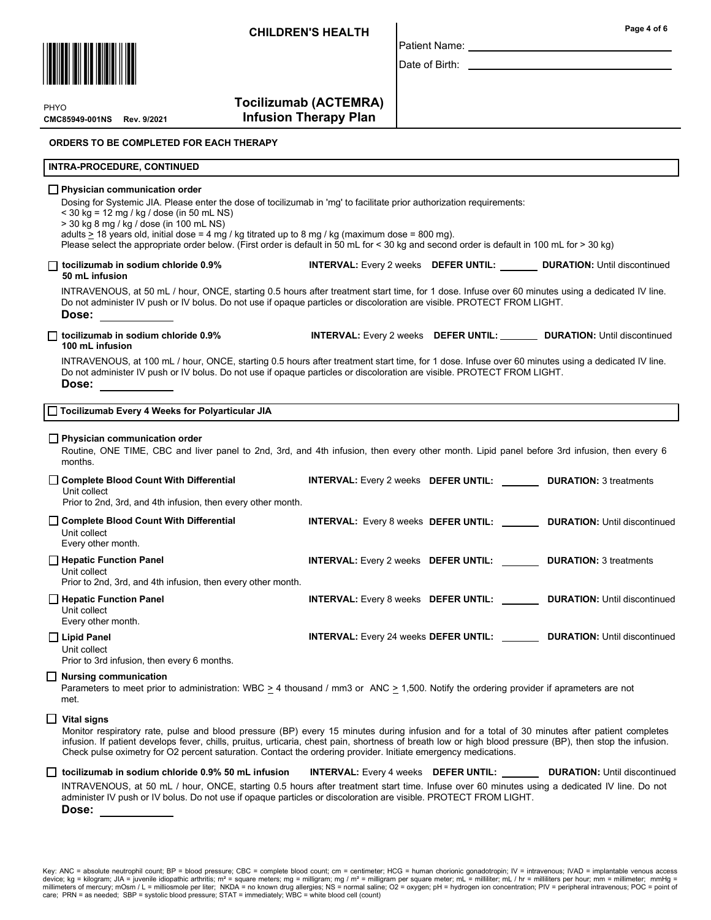

**PHYO** 

CMC85949-001NS

Tocilizumab (ACTEMRA) **Infusion Therapy Plan** 

## ORDERS TO BE COMPLETED FOR EACH THERAPY

## INTRA-PROCEDURE, CONTINUED

# **Physician communication order**

Dosing for Systemic JIA. Please enter the dose of tocilizumab in 'mg' to facilitate prior authorization requirements:

< 30 kg = 12 mg / kg / dose (in 50 mL NS)

> 30 kg 8 mg / kg / dose (in 100 mL NS)

adults  $\geq$  18 years old, initial dose = 4 mg / kg titrated up to 8 mg / kg (maximum dose = 800 mg).

Please select the appropriate order below. (First order is default in 50 mL for < 30 kg and second order is default in 100 mL for > 30 kg)

#### □ tocilizumab in sodium chloride 0.9% INTERVAL: Every 2 weeks DEFER UNTIL: DURATION: Until discontinued 50 mL infusion

INTRAVENOUS, at 50 mL / hour, ONCE, starting 0.5 hours after treatment start time, for 1 dose. Infuse over 60 minutes using a dedicated IV line. Do not administer IV push or IV bolus. Do not use if opaque particles or discoloration are visible. PROTECT FROM LIGHT. Dose:

□ tocilizumab in sodium chloride 0.9% INTERVAL: Every 2 weeks DEFER UNTIL: DURATION: Until discontinued

Patient Name: Date of Birth: \_

# 100 mL infusion

INTRAVENOUS, at 100 mL / hour, ONCE, starting 0.5 hours after treatment start time, for 1 dose. Infuse over 60 minutes using a dedicated IV line. Do not administer IV push or IV bolus. Do not use if opaque particles or discoloration are visible. PROTECT FROM LIGHT. Dose:

| □ Tocilizumab Every 4 Weeks for Polyarticular JIA |  |  |
|---------------------------------------------------|--|--|
|                                                   |  |  |

#### $\Box$  Physician communication order

Routine, ONE TIME, CBC and liver panel to 2nd, 3rd, and 4th infusion, then every other month. Lipid panel before 3rd infusion, then every 6 months.

| Complete Blood Count With Differential<br>Unit collect<br>Prior to 2nd, 3rd, and 4th infusion, then every other month. | <b>INTERVAL:</b> Every 2 weeks DEFER UNTIL:                               | <b>DURATION: 3 treatments</b>                                                     |
|------------------------------------------------------------------------------------------------------------------------|---------------------------------------------------------------------------|-----------------------------------------------------------------------------------|
| Complete Blood Count With Differential<br>Unit collect<br>Every other month.                                           |                                                                           | INTERVAL: Every 8 weeks DEFER UNTIL: ________ DURATION: Until discontinued        |
| Hepatic Function Panel<br>Unit collect<br>Prior to 2nd, 3rd, and 4th infusion, then every other month.                 | <b>INTERVAL:</b> Every 2 weeks <b>DEFER UNTIL: DURATION:</b> 3 treatments |                                                                                   |
| Hepatic Function Panel<br>Unit collect<br>Every other month.                                                           |                                                                           | <b>INTERVAL:</b> Every 8 weeks DEFER UNTIL: ________ DURATION: Until discontinued |
| $\Box$ Lipid Panel<br>Unit collect                                                                                     |                                                                           | <b>INTERVAL:</b> Every 24 weeks DEFER UNTIL: DURATION: Until discontinued         |

Prior to 3rd infusion, then every 6 months.

#### Nursing communication

Parameters to meet prior to administration: WBC  $\geq$  4 thousand / mm3 or ANC  $\geq$  1,500. Notify the ordering provider if aprameters are not met.

## $\Box$  Vital signs

Monitor respiratory rate, pulse and blood pressure (BP) every 15 minutes during infusion and for a total of 30 minutes after patient completes infusion. If patient develops fever, chills, pruitus, urticaria, chest pain, shortness of breath low or high blood pressure (BP), then stop the infusion. Check pulse oximetry for O2 percent saturation. Contact the ordering provider. Initiate emergency medications.

# INTRAVENOUS, at 50 mL / hour, ONCE, starting 0.5 hours after treatment start time. Infuse over 60 minutes using a dedicated IV line. Do not administer IV push or IV bolus. Do not use if opaque particles or discoloration are visible. PROTECT FROM LIGHT. □ tocilizumab in sodium chloride 0.9% 50 mL infusion INTERVAL: Every 4 weeks DEFER UNTIL: DURATION: Until discontinued

Dose:

Key: ANC = absolute neutrophil count; BP = blood pressure; CBC = complete blood count; cm = centimeter; HCG = human chorionic gonadotropin; IV = intravenous; IVAD = implantable venous access device; kg = kilogram; JIA = juvenile idiopathic arthritis; mª = square meters; mg = milligram; mg / mª = milligram per square meter; mL = milliiter; mL / hr = milliiters per hour; mm = millimeter; mmHg =<br>millimeters of m care; PRN = as needed; SBP = systolic blood pressure; STAT = immediately; WBC = white blood cell (count)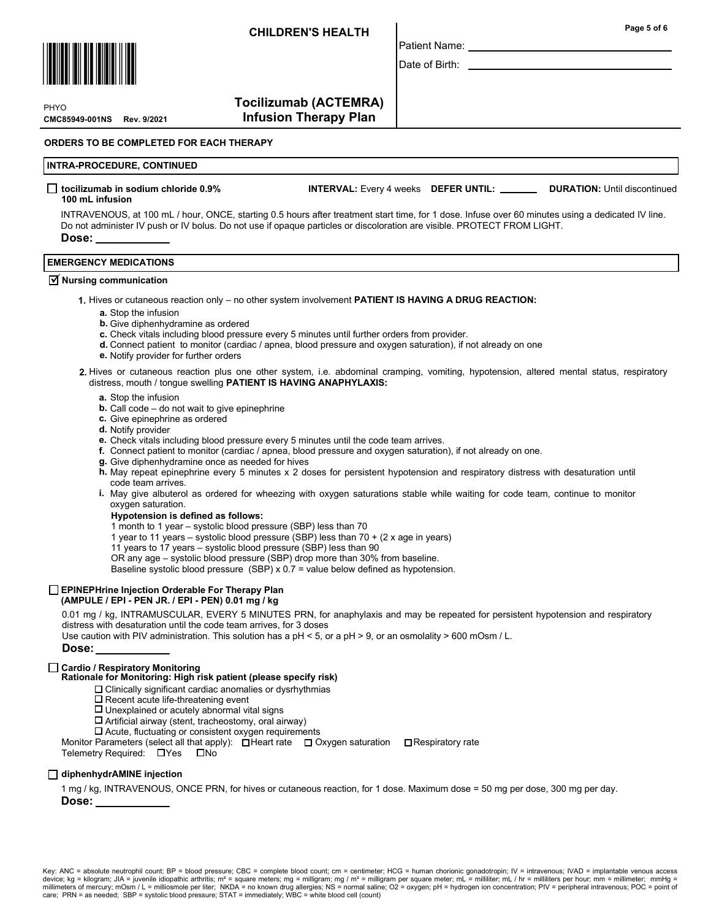

Date of Birth:

Patient Name:

CMC85949-001NS **PHYO** 

Tocilizumab (ACTEMRA) **Infusion Therapy Plan** 

ORDERS TO BE COMPLETED FOR EACH THERAPY

# INTRA-PROCEDURE, CONTINUED

#### □ tocilizumab in sodium chloride 0.9% INTERVAL: Every 4 weeks DEFER UNTIL: \_\_\_\_\_\_ DURATION: Until discontinued 100 mL infusion

INTRAVENOUS, at 100 mL / hour, ONCE, starting 0.5 hours after treatment start time, for 1 dose. Infuse over 60 minutes using a dedicated IV line. Do not administer IV push or IV bolus. Do not use if opaque particles or discoloration are visible. PROTECT FROM LIGHT. Dose:

# EMERGENCY MEDICATIONS

# $\overline{\mathsf{y}}$  Nursing communication

- 1. Hives or cutaneous reaction only no other system involvement PATIENT IS HAVING A DRUG REACTION:
	- a. Stop the infusion
	- **b.** Give diphenhydramine as ordered
	- c. Check vitals including blood pressure every 5 minutes until further orders from provider.
	- d. Connect patient to monitor (cardiac / apnea, blood pressure and oxygen saturation), if not already on one
	- e. Notify provider for further orders
- 2. Hives or cutaneous reaction plus one other system, i.e. abdominal cramping, vomiting, hypotension, altered mental status, respiratory distress, mouth / tongue swelling PATIENT IS HAVING ANAPHYLAXIS:
	- a. Stop the infusion
	- **b.** Call code  $-$  do not wait to give epinephrine
	- c. Give epinephrine as ordered
	- d. Notify provider
	- e. Check vitals including blood pressure every 5 minutes until the code team arrives.
	- f. Connect patient to monitor (cardiac / apnea, blood pressure and oxygen saturation), if not already on one.
	- g. Give diphenhydramine once as needed for hives
	- h. May repeat epinephrine every 5 minutes x 2 doses for persistent hypotension and respiratory distress with desaturation until code team arrives.
	- May give albuterol as ordered for wheezing with oxygen saturations stable while waiting for code team, continue to monitor i. oxygen saturation.
		- Hypotension is defined as follows:
		- 1 month to 1 year systolic blood pressure (SBP) less than 70
		- 1 year to 11 years systolic blood pressure (SBP) less than 70 + (2 x age in years)
		- 11 years to 17 years systolic blood pressure (SBP) less than 90
	- OR any age systolic blood pressure (SBP) drop more than 30% from baseline.

Baseline systolic blood pressure (SBP) x 0.7 = value below defined as hypotension.

# EPINEPHrine Injection Orderable For Therapy Plan

(AMPULE / EPI - PEN JR. / EPI - PEN) 0.01 mg / kg

0.01 mg / kg, INTRAMUSCULAR, EVERY 5 MINUTES PRN, for anaphylaxis and may be repeated for persistent hypotension and respiratory distress with desaturation until the code team arrives, for 3 doses

Use caution with PIV administration. This solution has a pH < 5, or a pH > 9, or an osmolality > 600 mOsm / L.

# Dose:

#### □ Cardio / Respiratory Monitoring Rationale for Monitoring: High risk patient (please specify risk)

- $\square$  Clinically significant cardiac anomalies or dysrhythmias
	- $\square$  Recent acute life-threatening event
- $\Box$  Unexplained or acutely abnormal vital signs
- $\square$  Artificial airway (stent, tracheostomy, oral airway)
- $\square$  Acute, fluctuating or consistent oxygen requirements
- Monitor Parameters (select all that apply):  $\Box$  Heart rate  $\Box$  Oxygen saturation  $\Box$  Respiratory rate

Telemetry Required: UYes DNo

# □ diphenhydrAMINE injection

1 mg / kg, INTRAVENOUS, ONCE PRN, for hives or cutaneous reaction, for 1 dose. Maximum dose = 50 mg per dose, 300 mg per day. Dose: \_